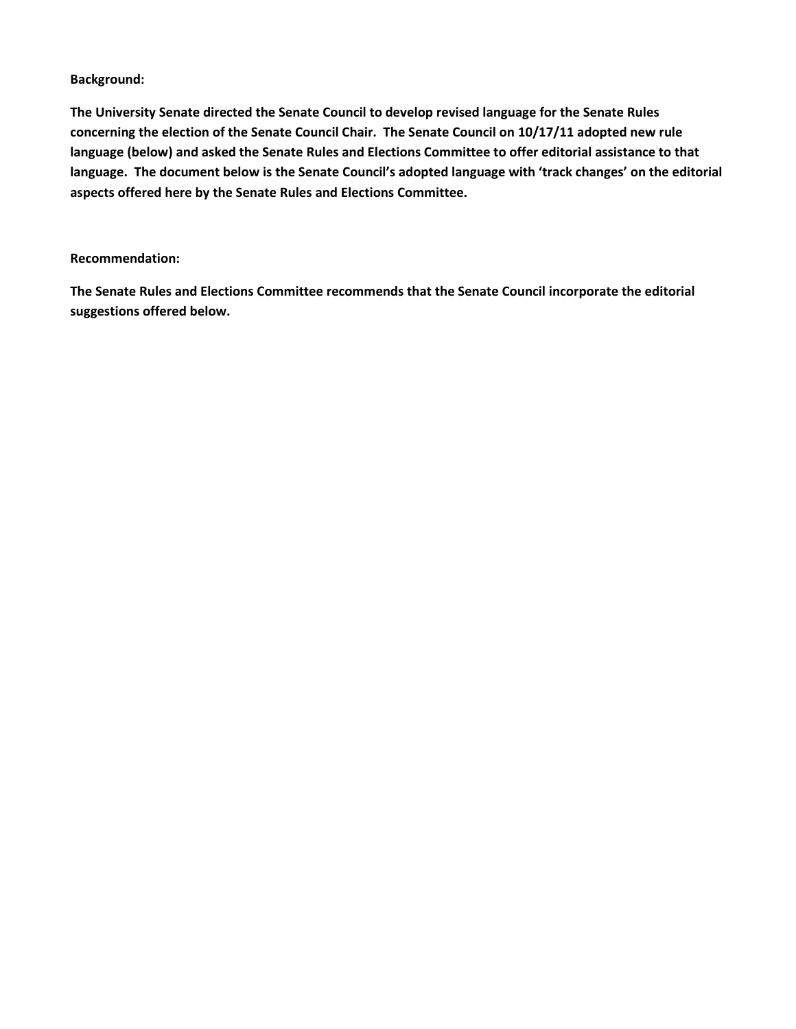### **Background:**

**The University Senate directed the Senate Council to develop revised language for the Senate Rules concerning the election of the Senate Council Chair. The Senate Council on 10/17/11 adopted new rule language (below) and asked the Senate Rules and Elections Committee to offer editorial assistance to that language. The document below is the Senate Council's adopted language with 'track changes' on the editorial aspects offered here by the Senate Rules and Elections Committee.**

#### **Recommendation:**

**The Senate Rules and Elections Committee recommends that the Senate Council incorporate the editorial suggestions offered below.**